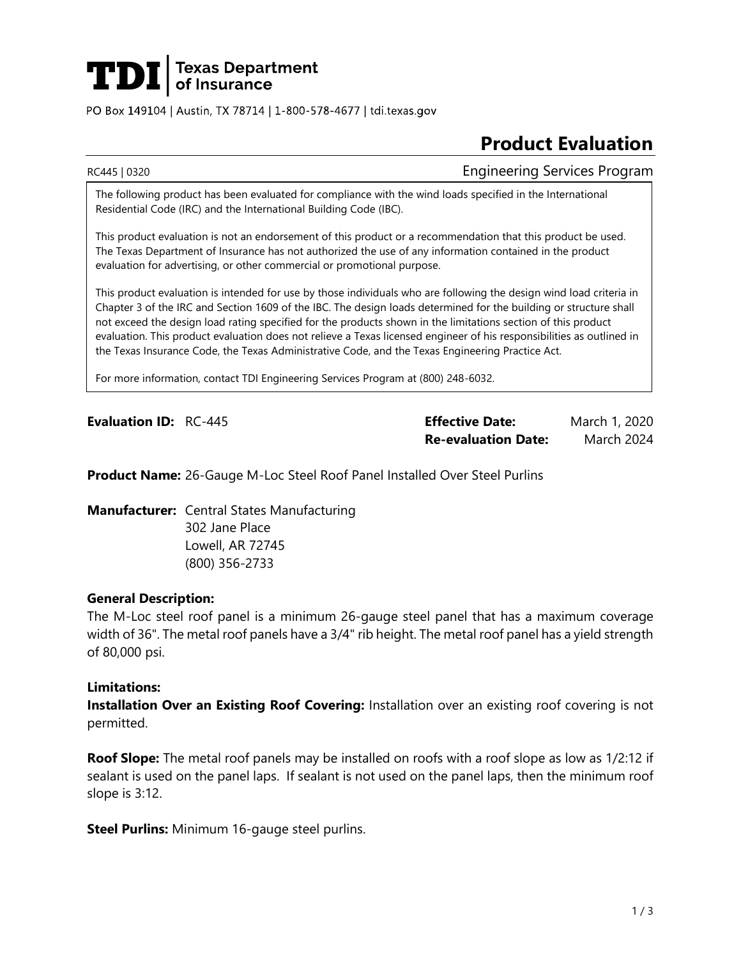

PO Box 149104 | Austin, TX 78714 | 1-800-578-4677 | tdi.texas.gov

# **Product Evaluation**

RC445 | 0320 **Engineering Services Program** 

The following product has been evaluated for compliance with the wind loads specified in the International Residential Code (IRC) and the International Building Code (IBC).

This product evaluation is not an endorsement of this product or a recommendation that this product be used. The Texas Department of Insurance has not authorized the use of any information contained in the product evaluation for advertising, or other commercial or promotional purpose.

This product evaluation is intended for use by those individuals who are following the design wind load criteria in Chapter 3 of the IRC and Section 1609 of the IBC. The design loads determined for the building or structure shall not exceed the design load rating specified for the products shown in the limitations section of this product evaluation. This product evaluation does not relieve a Texas licensed engineer of his responsibilities as outlined in the Texas Insurance Code, the Texas Administrative Code, and the Texas Engineering Practice Act.

For more information, contact TDI Engineering Services Program at (800) 248-6032.

**Evaluation ID:** RC-445 **Effective Date:** March 1, 2020 **Re-evaluation Date:** March 2024

**Product Name:** 26-Gauge M-Loc Steel Roof Panel Installed Over Steel Purlins

**Manufacturer:** Central States Manufacturing

302 Jane Place Lowell, AR 72745 (800) 356-2733

# **General Description:**

The M-Loc steel roof panel is a minimum 26-gauge steel panel that has a maximum coverage width of 36". The metal roof panels have a 3/4" rib height. The metal roof panel has a yield strength of 80,000 psi.

### **Limitations:**

**Installation Over an Existing Roof Covering:** Installation over an existing roof covering is not permitted.

**Roof Slope:** The metal roof panels may be installed on roofs with a roof slope as low as 1/2:12 if sealant is used on the panel laps. If sealant is not used on the panel laps, then the minimum roof slope is 3:12.

**Steel Purlins:** Minimum 16-gauge steel purlins.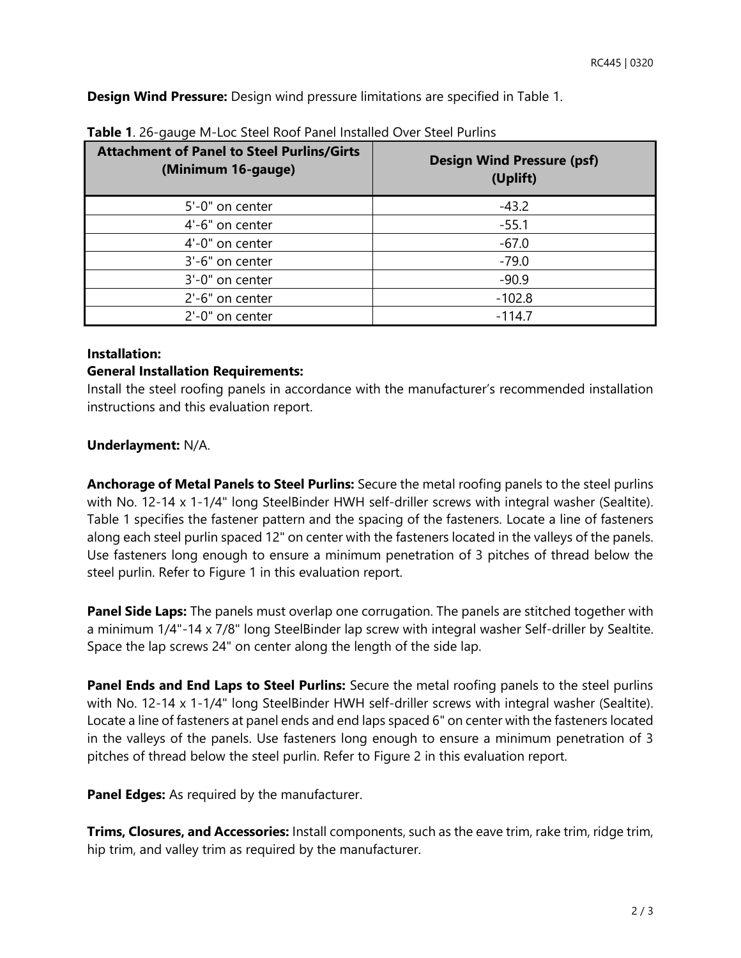**Design Wind Pressure:** Design wind pressure limitations are specified in Table 1.

| <b>Attachment of Panel to Steel Purlins/Girts</b><br>(Minimum 16-gauge) | <b>Design Wind Pressure (psf)</b><br>(Uplift) |
|-------------------------------------------------------------------------|-----------------------------------------------|
| 5'-0" on center                                                         | $-43.2$                                       |
| 4'-6" on center                                                         | $-55.1$                                       |
| 4'-0" on center                                                         | $-67.0$                                       |
| 3'-6" on center                                                         | $-79.0$                                       |
| 3'-0" on center                                                         | $-90.9$                                       |
| 2'-6" on center                                                         | $-102.8$                                      |
| $2'-0''$ on center                                                      | $-114.7$                                      |

**Table 1**. 26-gauge M-Loc Steel Roof Panel Installed Over Steel Purlins

### **Installation:**

# **General Installation Requirements:**

Install the steel roofing panels in accordance with the manufacturer's recommended installation instructions and this evaluation report.

# **Underlayment:** N/A.

**Anchorage of Metal Panels to Steel Purlins:** Secure the metal roofing panels to the steel purlins with No. 12-14 x 1-1/4" long SteelBinder HWH self-driller screws with integral washer (Sealtite). Table 1 specifies the fastener pattern and the spacing of the fasteners. Locate a line of fasteners along each steel purlin spaced 12" on center with the fasteners located in the valleys of the panels. Use fasteners long enough to ensure a minimum penetration of 3 pitches of thread below the steel purlin. Refer to Figure 1 in this evaluation report.

**Panel Side Laps:** The panels must overlap one corrugation. The panels are stitched together with a minimum 1/4"-14 x 7/8" long SteelBinder lap screw with integral washer Self-driller by Sealtite. Space the lap screws 24" on center along the length of the side lap.

**Panel Ends and End Laps to Steel Purlins:** Secure the metal roofing panels to the steel purlins with No. 12-14 x 1-1/4" long SteelBinder HWH self-driller screws with integral washer (Sealtite). Locate a line of fasteners at panel ends and end laps spaced 6" on center with the fasteners located in the valleys of the panels. Use fasteners long enough to ensure a minimum penetration of 3 pitches of thread below the steel purlin. Refer to Figure 2 in this evaluation report.

**Panel Edges:** As required by the manufacturer.

**Trims, Closures, and Accessories:** Install components, such as the eave trim, rake trim, ridge trim, hip trim, and valley trim as required by the manufacturer.